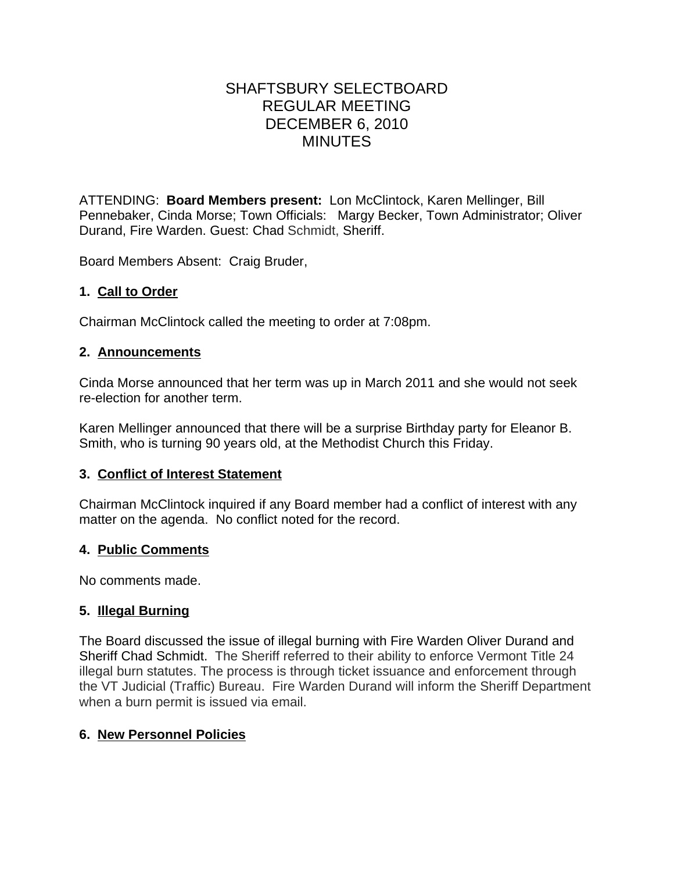# SHAFTSBURY SELECTBOARD REGULAR MEETING DECEMBER 6, 2010 MINUTES

ATTENDING: **Board Members present:** Lon McClintock, Karen Mellinger, Bill Pennebaker, Cinda Morse; Town Officials: Margy Becker, Town Administrator; Oliver Durand, Fire Warden. Guest: Chad Schmidt, Sheriff.

Board Members Absent: Craig Bruder,

### **1. Call to Order**

Chairman McClintock called the meeting to order at 7:08pm.

### **2. Announcements**

Cinda Morse announced that her term was up in March 2011 and she would not seek re-election for another term.

Karen Mellinger announced that there will be a surprise Birthday party for Eleanor B. Smith, who is turning 90 years old, at the Methodist Church this Friday.

### **3. Conflict of Interest Statement**

Chairman McClintock inquired if any Board member had a conflict of interest with any matter on the agenda. No conflict noted for the record.

### **4. Public Comments**

No comments made.

# **5. Illegal Burning**

The Board discussed the issue of illegal burning with Fire Warden Oliver Durand and Sheriff Chad Schmidt. The Sheriff referred to their ability to enforce Vermont Title 24 illegal burn statutes. The process is through ticket issuance and enforcement through the VT Judicial (Traffic) Bureau. Fire Warden Durand will inform the Sheriff Department when a burn permit is issued via email.

# **6. New Personnel Policies**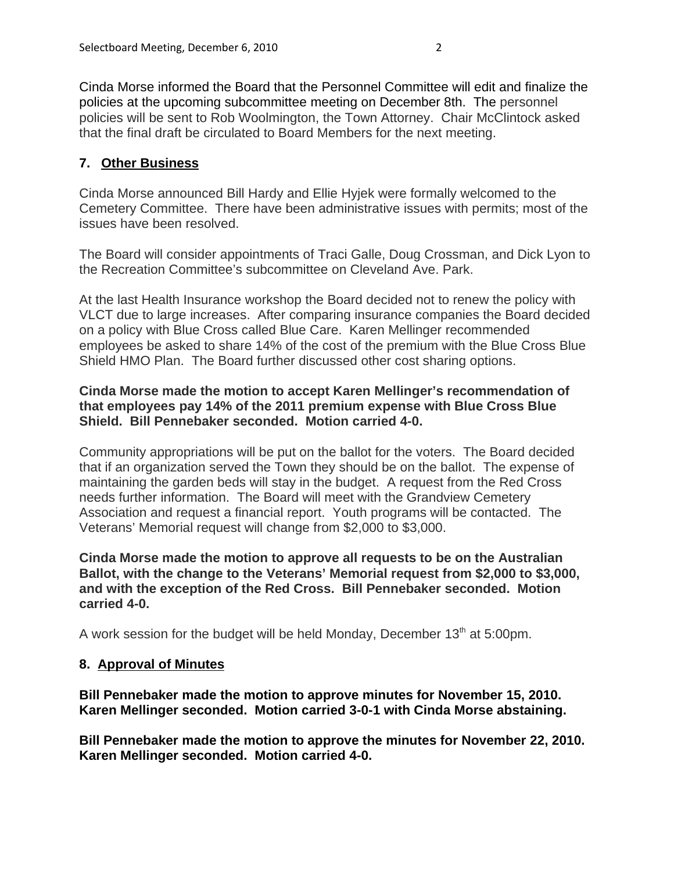Cinda Morse informed the Board that the Personnel Committee will edit and finalize the policies at the upcoming subcommittee meeting on December 8th. The personnel policies will be sent to Rob Woolmington, the Town Attorney. Chair McClintock asked that the final draft be circulated to Board Members for the next meeting.

### **7. Other Business**

Cinda Morse announced Bill Hardy and Ellie Hyjek were formally welcomed to the Cemetery Committee. There have been administrative issues with permits; most of the issues have been resolved.

The Board will consider appointments of Traci Galle, Doug Crossman, and Dick Lyon to the Recreation Committee's subcommittee on Cleveland Ave. Park.

At the last Health Insurance workshop the Board decided not to renew the policy with VLCT due to large increases. After comparing insurance companies the Board decided on a policy with Blue Cross called Blue Care. Karen Mellinger recommended employees be asked to share 14% of the cost of the premium with the Blue Cross Blue Shield HMO Plan. The Board further discussed other cost sharing options.

### **Cinda Morse made the motion to accept Karen Mellinger's recommendation of that employees pay 14% of the 2011 premium expense with Blue Cross Blue Shield. Bill Pennebaker seconded. Motion carried 4-0.**

Community appropriations will be put on the ballot for the voters. The Board decided that if an organization served the Town they should be on the ballot. The expense of maintaining the garden beds will stay in the budget. A request from the Red Cross needs further information. The Board will meet with the Grandview Cemetery Association and request a financial report. Youth programs will be contacted. The Veterans' Memorial request will change from \$2,000 to \$3,000.

**Cinda Morse made the motion to approve all requests to be on the Australian Ballot, with the change to the Veterans' Memorial request from \$2,000 to \$3,000, and with the exception of the Red Cross. Bill Pennebaker seconded. Motion carried 4-0.**

A work session for the budget will be held Monday, December  $13<sup>th</sup>$  at 5:00pm.

### **8. Approval of Minutes**

**Bill Pennebaker made the motion to approve minutes for November 15, 2010. Karen Mellinger seconded. Motion carried 3-0-1 with Cinda Morse abstaining.**

**Bill Pennebaker made the motion to approve the minutes for November 22, 2010. Karen Mellinger seconded. Motion carried 4-0.**